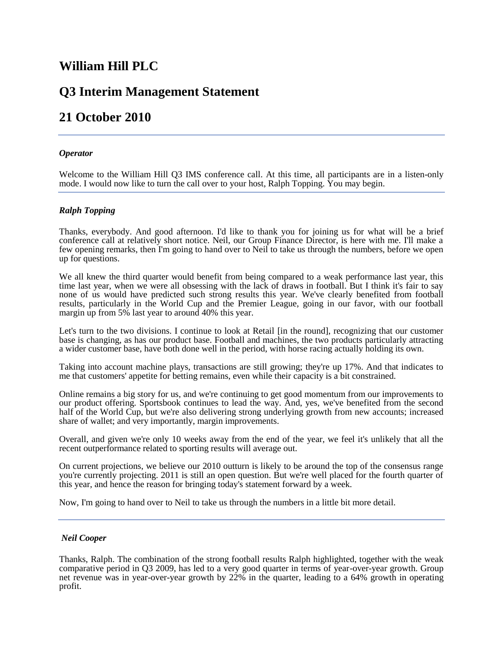# **William Hill PLC**

# **Q3 Interim Management Statement**

# **21 October 2010**

# *Operator*

Welcome to the William Hill Q3 IMS conference call. At this time, all participants are in a listen-only mode. I would now like to turn the call over to your host, Ralph Topping. You may begin.

# *Ralph Topping*

Thanks, everybody. And good afternoon. I'd like to thank you for joining us for what will be a brief conference call at relatively short notice. Neil, our Group Finance Director, is here with me. I'll make a few opening remarks, then I'm going to hand over to Neil to take us through the numbers, before we open up for questions.

We all knew the third quarter would benefit from being compared to a weak performance last year, this time last year, when we were all obsessing with the lack of draws in football. But I think it's fair to say none of us would have predicted such strong results this year. We've clearly benefited from football results, particularly in the World Cup and the Premier League, going in our favor, with our football margin up from 5% last year to around 40% this year.

Let's turn to the two divisions. I continue to look at Retail [in the round], recognizing that our customer base is changing, as has our product base. Football and machines, the two products particularly attracting a wider customer base, have both done well in the period, with horse racing actually holding its own.

Taking into account machine plays, transactions are still growing; they're up 17%. And that indicates to me that customers' appetite for betting remains, even while their capacity is a bit constrained.

Online remains a big story for us, and we're continuing to get good momentum from our improvements to our product offering. Sportsbook continues to lead the way. And, yes, we've benefited from the second half of the World Cup, but we're also delivering strong underlying growth from new accounts; increased share of wallet; and very importantly, margin improvements.

Overall, and given we're only 10 weeks away from the end of the year, we feel it's unlikely that all the recent outperformance related to sporting results will average out.

On current projections, we believe our 2010 outturn is likely to be around the top of the consensus range you're currently projecting. 2011 is still an open question. But we're well placed for the fourth quarter of this year, and hence the reason for bringing today's statement forward by a week.

Now, I'm going to hand over to Neil to take us through the numbers in a little bit more detail.

## *Neil Cooper*

Thanks, Ralph. The combination of the strong football results Ralph highlighted, together with the weak comparative period in Q3 2009, has led to a very good quarter in terms of year-over-year growth. Group net revenue was in year-over-year growth by 22% in the quarter, leading to a 64% growth in operating profit.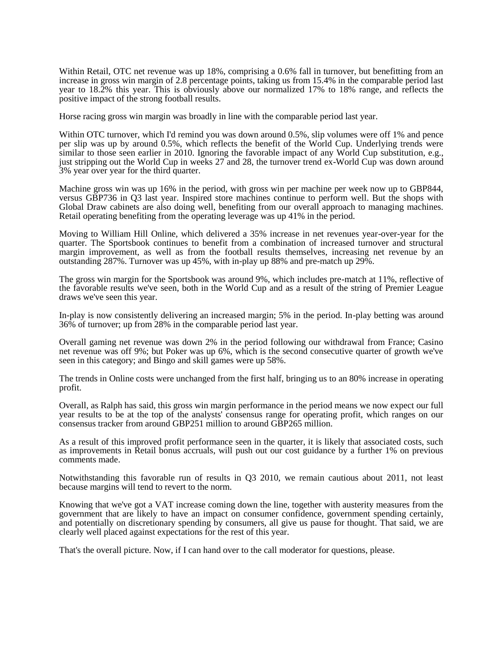Within Retail, OTC net revenue was up 18%, comprising a 0.6% fall in turnover, but benefitting from an increase in gross win margin of 2.8 percentage points, taking us from 15.4% in the comparable period last year to 18.2% this year. This is obviously above our normalized 17% to 18% range, and reflects the positive impact of the strong football results.

Horse racing gross win margin was broadly in line with the comparable period last year.

Within OTC turnover, which I'd remind you was down around 0.5%, slip volumes were off 1% and pence per slip was up by around 0.5%, which reflects the benefit of the World Cup. Underlying trends were similar to those seen earlier in 2010. Ignoring the favorable impact of any World Cup substitution, e.g., just stripping out the World Cup in weeks 27 and 28, the turnover trend ex-World Cup was down around 3% year over year for the third quarter.

Machine gross win was up 16% in the period, with gross win per machine per week now up to GBP844, versus GBP736 in Q3 last year. Inspired store machines continue to perform well. But the shops with Global Draw cabinets are also doing well, benefiting from our overall approach to managing machines. Retail operating benefiting from the operating leverage was up 41% in the period.

Moving to William Hill Online, which delivered a 35% increase in net revenues year-over-year for the quarter. The Sportsbook continues to benefit from a combination of increased turnover and structural margin improvement, as well as from the football results themselves, increasing net revenue by an outstanding 287%. Turnover was up 45%, with in-play up 88% and pre-match up 29%.

The gross win margin for the Sportsbook was around 9%, which includes pre-match at 11%, reflective of the favorable results we've seen, both in the World Cup and as a result of the string of Premier League draws we've seen this year.

In-play is now consistently delivering an increased margin; 5% in the period. In-play betting was around 36% of turnover; up from 28% in the comparable period last year.

Overall gaming net revenue was down 2% in the period following our withdrawal from France; Casino net revenue was off 9%; but Poker was up 6%, which is the second consecutive quarter of growth we've seen in this category; and Bingo and skill games were up 58%.

The trends in Online costs were unchanged from the first half, bringing us to an 80% increase in operating profit.

Overall, as Ralph has said, this gross win margin performance in the period means we now expect our full year results to be at the top of the analysts' consensus range for operating profit, which ranges on our consensus tracker from around GBP251 million to around GBP265 million.

As a result of this improved profit performance seen in the quarter, it is likely that associated costs, such as improvements in Retail bonus accruals, will push out our cost guidance by a further 1% on previous comments made.

Notwithstanding this favorable run of results in Q3 2010, we remain cautious about 2011, not least because margins will tend to revert to the norm.

Knowing that we've got a VAT increase coming down the line, together with austerity measures from the government that are likely to have an impact on consumer confidence, government spending certainly, and potentially on discretionary spending by consumers, all give us pause for thought. That said, we are clearly well placed against expectations for the rest of this year.

That's the overall picture. Now, if I can hand over to the call moderator for questions, please.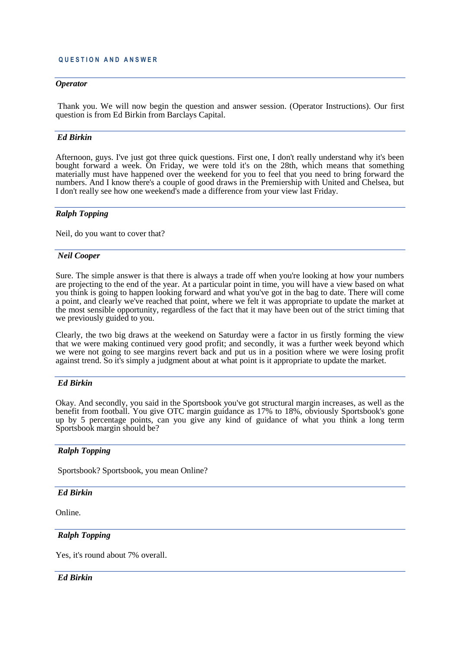## *Operator*

Thank you. We will now begin the question and answer session. (Operator Instructions). Our first question is from Ed Birkin from Barclays Capital.

# *Ed Birkin*

Afternoon, guys. I've just got three quick questions. First one, I don't really understand why it's been bought forward a week. On Friday, we were told it's on the 28th, which means that something materially must have happened over the weekend for you to feel that you need to bring forward the numbers. And I know there's a couple of good draws in the Premiership with United and Chelsea, but I don't really see how one weekend's made a difference from your view last Friday.

## *Ralph Topping*

Neil, do you want to cover that?

## *Neil Cooper*

Sure. The simple answer is that there is always a trade off when you're looking at how your numbers are projecting to the end of the year. At a particular point in time, you will have a view based on what you think is going to happen looking forward and what you've got in the bag to date. There will come a point, and clearly we've reached that point, where we felt it was appropriate to update the market at the most sensible opportunity, regardless of the fact that it may have been out of the strict timing that we previously guided to you.

Clearly, the two big draws at the weekend on Saturday were a factor in us firstly forming the view that we were making continued very good profit; and secondly, it was a further week beyond which we were not going to see margins revert back and put us in a position where we were losing profit against trend. So it's simply a judgment about at what point is it appropriate to update the market.

## *Ed Birkin*

Okay. And secondly, you said in the Sportsbook you've got structural margin increases, as well as the benefit from football. You give OTC margin guidance as 17% to 18%, obviously Sportsbook's gone up by 5 percentage points, can you give any kind of guidance of what you think a long term Sportsbook margin should be?

## *Ralph Topping*

Sportsbook? Sportsbook, you mean Online?

## *Ed Birkin*

Online.

# *Ralph Topping*

Yes, it's round about 7% overall.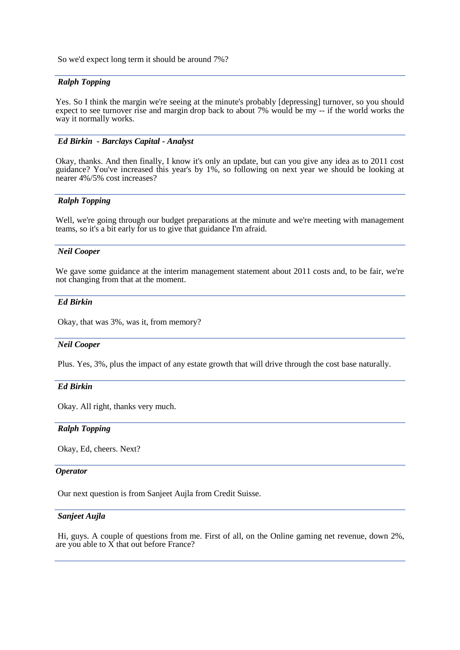So we'd expect long term it should be around 7%?

# *Ralph Topping*

Yes. So I think the margin we're seeing at the minute's probably [depressing] turnover, so you should expect to see turnover rise and margin drop back to about 7% would be my -- if the world works the way it normally works.

## *Ed Birkin - Barclays Capital - Analyst*

Okay, thanks. And then finally, I know it's only an update, but can you give any idea as to 2011 cost guidance? You've increased this year's by 1%, so following on next year we should be looking at nearer 4%/5% cost increases?

# *Ralph Topping*

Well, we're going through our budget preparations at the minute and we're meeting with management teams, so it's a bit early for us to give that guidance I'm afraid.

#### *Neil Cooper*

We gave some guidance at the interim management statement about 2011 costs and, to be fair, we're not changing from that at the moment.

# *Ed Birkin*

Okay, that was 3%, was it, from memory?

#### *Neil Cooper*

Plus. Yes, 3%, plus the impact of any estate growth that will drive through the cost base naturally.

## *Ed Birkin*

Okay. All right, thanks very much.

#### *Ralph Topping*

Okay, Ed, cheers. Next?

#### *Operator*

Our next question is from Sanjeet Aujla from Credit Suisse.

# *Sanjeet Aujla*

Hi, guys. A couple of questions from me. First of all, on the Online gaming net revenue, down 2%, are you able to  $\overrightarrow{X}$  that out before France?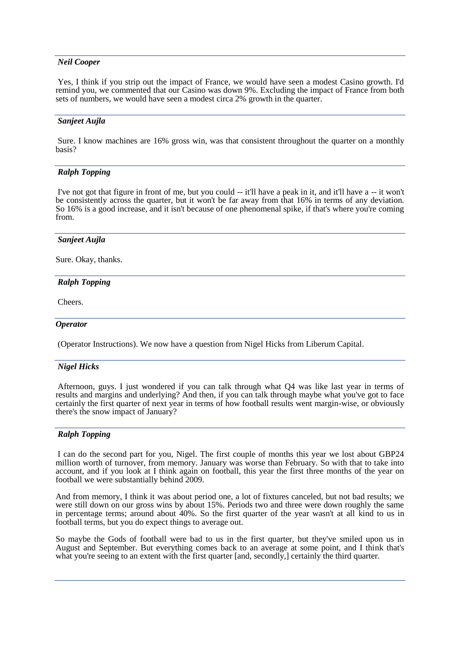## *Neil Cooper*

Yes, I think if you strip out the impact of France, we would have seen a modest Casino growth. I'd remind you, we commented that our Casino was down 9%. Excluding the impact of France from both sets of numbers, we would have seen a modest circa 2% growth in the quarter.

## *Sanjeet Aujla*

Sure. I know machines are 16% gross win, was that consistent throughout the quarter on a monthly basis?

# *Ralph Topping*

I've not got that figure in front of me, but you could -- it'll have a peak in it, and it'll have a -- it won't be consistently across the quarter, but it won't be far away from that 16% in terms of any deviation. So 16% is a good increase, and it isn't because of one phenomenal spike, if that's where you're coming from.

## *Sanjeet Aujla*

Sure. Okay, thanks.

# *Ralph Topping*

Cheers.

#### *Operator*

(Operator Instructions). We now have a question from Nigel Hicks from Liberum Capital.

## *Nigel Hicks*

Afternoon, guys. I just wondered if you can talk through what Q4 was like last year in terms of results and margins and underlying? And then, if you can talk through maybe what you've got to face certainly the first quarter of next year in terms of how football results went margin-wise, or obviously there's the snow impact of January?

## *Ralph Topping*

I can do the second part for you, Nigel. The first couple of months this year we lost about GBP24 million worth of turnover, from memory. January was worse than February. So with that to take into account, and if you look at I think again on football, this year the first three months of the year on football we were substantially behind 2009.

And from memory, I think it was about period one, a lot of fixtures canceled, but not bad results; we were still down on our gross wins by about 15%. Periods two and three were down roughly the same in percentage terms; around about 40%. So the first quarter of the year wasn't at all kind to us in football terms, but you do expect things to average out.

So maybe the Gods of football were bad to us in the first quarter, but they've smiled upon us in August and September. But everything comes back to an average at some point, and I think that's what you're seeing to an extent with the first quarter [and, secondly,] certainly the third quarter.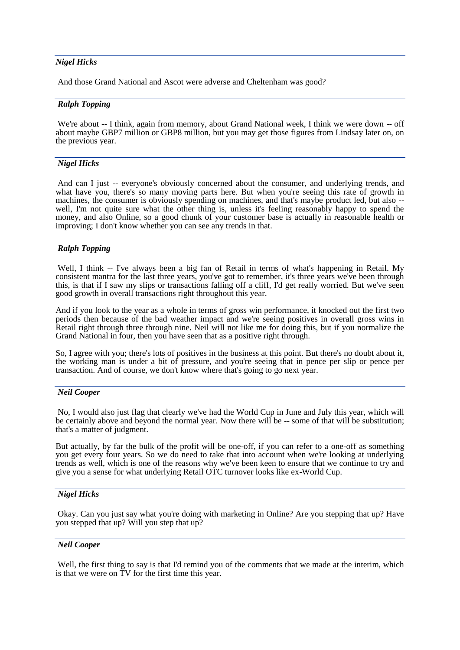# *Nigel Hicks*

And those Grand National and Ascot were adverse and Cheltenham was good?

## *Ralph Topping*

We're about -- I think, again from memory, about Grand National week, I think we were down -- off about maybe GBP7 million or GBP8 million, but you may get those figures from Lindsay later on, on the previous year.

## *Nigel Hicks*

And can I just -- everyone's obviously concerned about the consumer, and underlying trends, and what have you, there's so many moving parts here. But when you're seeing this rate of growth in machines, the consumer is obviously spending on machines, and that's maybe product led, but also - well, I'm not quite sure what the other thing is, unless it's feeling reasonably happy to spend the money, and also Online, so a good chunk of your customer base is actually in reasonable health or improving; I don't know whether you can see any trends in that.

# *Ralph Topping*

Well, I think -- I've always been a big fan of Retail in terms of what's happening in Retail. My consistent mantra for the last three years, you've got to remember, it's three years we've been through this, is that if I saw my slips or transactions falling off a cliff, I'd get really worried. But we've seen good growth in overall transactions right throughout this year.

And if you look to the year as a whole in terms of gross win performance, it knocked out the first two periods then because of the bad weather impact and we're seeing positives in overall gross wins in Retail right through three through nine. Neil will not like me for doing this, but if you normalize the Grand National in four, then you have seen that as a positive right through.

So, I agree with you; there's lots of positives in the business at this point. But there's no doubt about it, the working man is under a bit of pressure, and you're seeing that in pence per slip or pence per transaction. And of course, we don't know where that's going to go next year.

# *Neil Cooper*

No, I would also just flag that clearly we've had the World Cup in June and July this year, which will be certainly above and beyond the normal year. Now there will be -- some of that will be substitution; that's a matter of judgment.

But actually, by far the bulk of the profit will be one-off, if you can refer to a one-off as something you get every four years. So we do need to take that into account when we're looking at underlying trends as well, which is one of the reasons why we've been keen to ensure that we continue to try and give you a sense for what underlying Retail OTC turnover looks like ex-World Cup.

## *Nigel Hicks*

Okay. Can you just say what you're doing with marketing in Online? Are you stepping that up? Have you stepped that up? Will you step that up?

## *Neil Cooper*

Well, the first thing to say is that I'd remind you of the comments that we made at the interim, which is that we were on TV for the first time this year.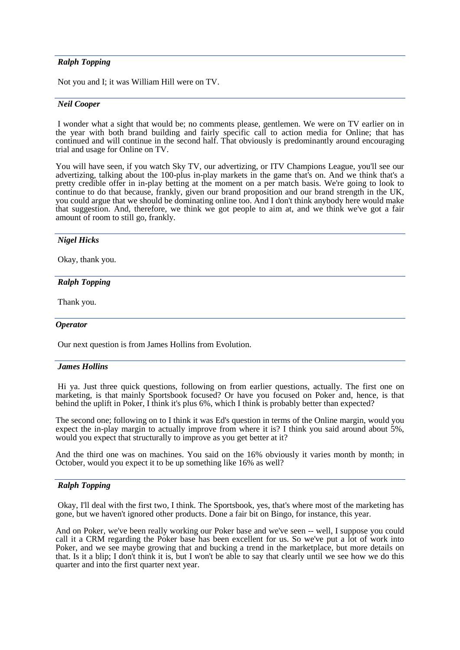# *Ralph Topping*

Not you and I; it was William Hill were on TV.

#### *Neil Cooper*

I wonder what a sight that would be; no comments please, gentlemen. We were on TV earlier on in the year with both brand building and fairly specific call to action media for Online; that has continued and will continue in the second half. That obviously is predominantly around encouraging trial and usage for Online on TV.

You will have seen, if you watch Sky TV, our advertizing, or ITV Champions League, you'll see our advertizing, talking about the 100-plus in-play markets in the game that's on. And we think that's a pretty credible offer in in-play betting at the moment on a per match basis. We're going to look to continue to do that because, frankly, given our brand proposition and our brand strength in the UK, you could argue that we should be dominating online too. And I don't think anybody here would make that suggestion. And, therefore, we think we got people to aim at, and we think we've got a fair amount of room to still go, frankly.

#### *Nigel Hicks*

Okay, thank you.

## *Ralph Topping*

Thank you.

#### *Operator*

Our next question is from James Hollins from Evolution.

#### *James Hollins*

Hi ya. Just three quick questions, following on from earlier questions, actually. The first one on marketing, is that mainly Sportsbook focused? Or have you focused on Poker and, hence, is that behind the uplift in Poker, I think it's plus 6%, which I think is probably better than expected?

The second one; following on to I think it was Ed's question in terms of the Online margin, would you expect the in-play margin to actually improve from where it is? I think you said around about 5%, would you expect that structurally to improve as you get better at it?

And the third one was on machines. You said on the 16% obviously it varies month by month; in October, would you expect it to be up something like 16% as well?

# *Ralph Topping*

Okay, I'll deal with the first two, I think. The Sportsbook, yes, that's where most of the marketing has gone, but we haven't ignored other products. Done a fair bit on Bingo, for instance, this year.

And on Poker, we've been really working our Poker base and we've seen -- well, I suppose you could call it a CRM regarding the Poker base has been excellent for us. So we've put a lot of work into Poker, and we see maybe growing that and bucking a trend in the marketplace, but more details on that. Is it a blip; I don't think it is, but I won't be able to say that clearly until we see how we do this quarter and into the first quarter next year.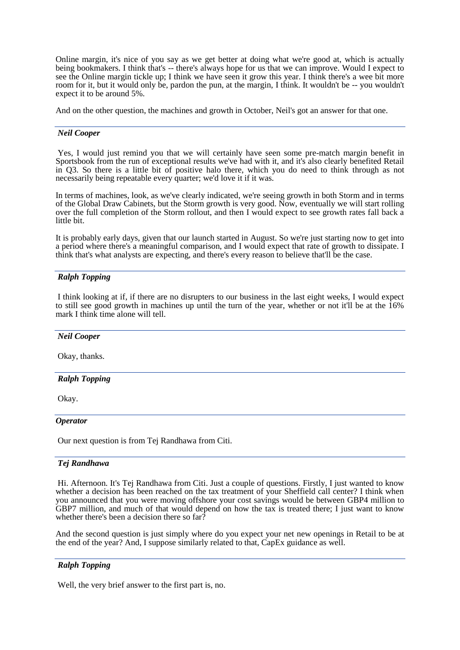Online margin, it's nice of you say as we get better at doing what we're good at, which is actually being bookmakers. I think that's -- there's always hope for us that we can improve. Would I expect to see the Online margin tickle up; I think we have seen it grow this year. I think there's a wee bit more room for it, but it would only be, pardon the pun, at the margin, I think. It wouldn't be -- you wouldn't expect it to be around 5%.

And on the other question, the machines and growth in October, Neil's got an answer for that one.

# *Neil Cooper*

Yes, I would just remind you that we will certainly have seen some pre-match margin benefit in Sportsbook from the run of exceptional results we've had with it, and it's also clearly benefited Retail in Q3. So there is a little bit of positive halo there, which you do need to think through as not necessarily being repeatable every quarter; we'd love it if it was.

In terms of machines, look, as we've clearly indicated, we're seeing growth in both Storm and in terms of the Global Draw Cabinets, but the Storm growth is very good. Now, eventually we will start rolling over the full completion of the Storm rollout, and then I would expect to see growth rates fall back a little bit.

It is probably early days, given that our launch started in August. So we're just starting now to get into a period where there's a meaningful comparison, and I would expect that rate of growth to dissipate. I think that's what analysts are expecting, and there's every reason to believe that'll be the case.

# *Ralph Topping*

I think looking at if, if there are no disrupters to our business in the last eight weeks, I would expect to still see good growth in machines up until the turn of the year, whether or not it'll be at the 16% mark I think time alone will tell.

## *Neil Cooper*

Okay, thanks.

# *Ralph Topping*

Okay.

## *Operator*

Our next question is from Tej Randhawa from Citi.

## *Tej Randhawa*

Hi. Afternoon. It's Tej Randhawa from Citi. Just a couple of questions. Firstly, I just wanted to know whether a decision has been reached on the tax treatment of your Sheffield call center? I think when you announced that you were moving offshore your cost savings would be between GBP4 million to GBP7 million, and much of that would depend on how the tax is treated there; I just want to know whether there's been a decision there so far?

And the second question is just simply where do you expect your net new openings in Retail to be at the end of the year? And, I suppose similarly related to that, CapEx guidance as well.

## *Ralph Topping*

Well, the very brief answer to the first part is, no.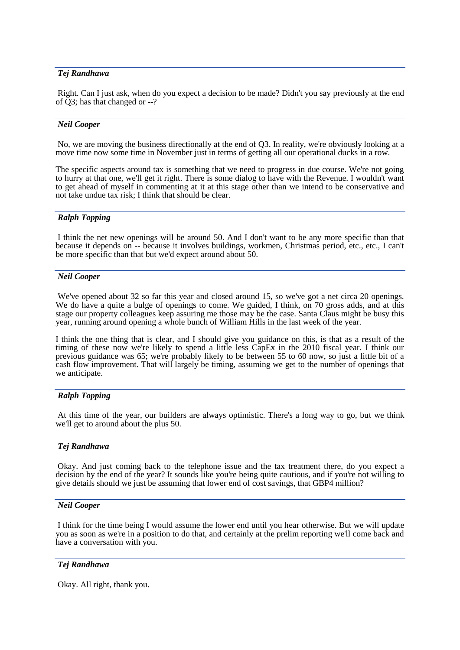# *Tej Randhawa*

Right. Can I just ask, when do you expect a decision to be made? Didn't you say previously at the end of Q3; has that changed or --?

## *Neil Cooper*

No, we are moving the business directionally at the end of Q3. In reality, we're obviously looking at a move time now some time in November just in terms of getting all our operational ducks in a row.

The specific aspects around tax is something that we need to progress in due course. We're not going to hurry at that one, we'll get it right. There is some dialog to have with the Revenue. I wouldn't want to get ahead of myself in commenting at it at this stage other than we intend to be conservative and not take undue tax risk; I think that should be clear.

## *Ralph Topping*

I think the net new openings will be around 50. And I don't want to be any more specific than that because it depends on -- because it involves buildings, workmen, Christmas period, etc., etc., I can't be more specific than that but we'd expect around about 50.

#### *Neil Cooper*

We've opened about 32 so far this year and closed around 15, so we've got a net circa 20 openings. We do have a quite a bulge of openings to come. We guided, I think, on 70 gross adds, and at this stage our property colleagues keep assuring me those may be the case. Santa Claus might be busy this year, running around opening a whole bunch of William Hills in the last week of the year.

I think the one thing that is clear, and I should give you guidance on this, is that as a result of the timing of these now we're likely to spend a little less CapEx in the 2010 fiscal year. I think our previous guidance was 65; we're probably likely to be between 55 to 60 now, so just a little bit of a cash flow improvement. That will largely be timing, assuming we get to the number of openings that we anticipate.

## *Ralph Topping*

At this time of the year, our builders are always optimistic. There's a long way to go, but we think we'll get to around about the plus 50.

## *Tej Randhawa*

Okay. And just coming back to the telephone issue and the tax treatment there, do you expect a decision by the end of the year? It sounds like you're being quite cautious, and if you're not willing to give details should we just be assuming that lower end of cost savings, that GBP4 million?

## *Neil Cooper*

I think for the time being I would assume the lower end until you hear otherwise. But we will update you as soon as we're in a position to do that, and certainly at the prelim reporting we'll come back and have a conversation with you.

## *Tej Randhawa*

Okay. All right, thank you.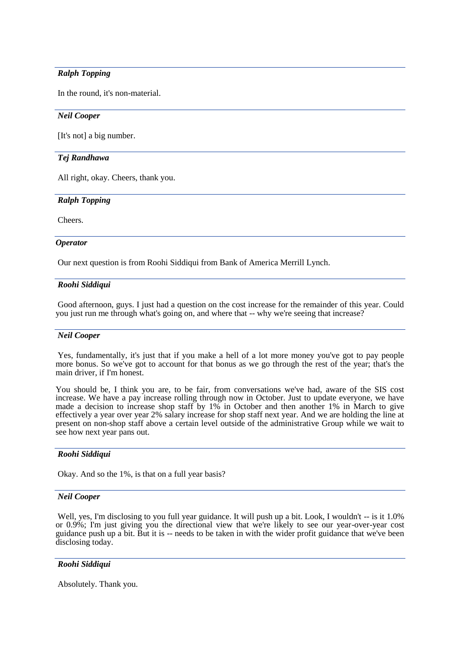# *Ralph Topping*

In the round, it's non-material.

# *Neil Cooper*

[It's not] a big number.

# *Tej Randhawa*

All right, okay. Cheers, thank you.

# *Ralph Topping*

Cheers.

# *Operator*

Our next question is from Roohi Siddiqui from Bank of America Merrill Lynch.

# *Roohi Siddiqui*

Good afternoon, guys. I just had a question on the cost increase for the remainder of this year. Could you just run me through what's going on, and where that -- why we're seeing that increase?

# *Neil Cooper*

Yes, fundamentally, it's just that if you make a hell of a lot more money you've got to pay people more bonus. So we've got to account for that bonus as we go through the rest of the year; that's the main driver, if I'm honest.

You should be, I think you are, to be fair, from conversations we've had, aware of the SIS cost increase. We have a pay increase rolling through now in October. Just to update everyone, we have made a decision to increase shop staff by 1% in October and then another 1% in March to give effectively a year over year 2% salary increase for shop staff next year. And we are holding the line at present on non-shop staff above a certain level outside of the administrative Group while we wait to see how next year pans out.

# *Roohi Siddiqui*

Okay. And so the 1%, is that on a full year basis?

## *Neil Cooper*

Well, yes, I'm disclosing to you full year guidance. It will push up a bit. Look, I wouldn't -- is it 1.0% or 0.9%; I'm just giving you the directional view that we're likely to see our year-over-year cost guidance push up a bit. But it is -- needs to be taken in with the wider profit guidance that we've been disclosing today.

# *Roohi Siddiqui*

Absolutely. Thank you.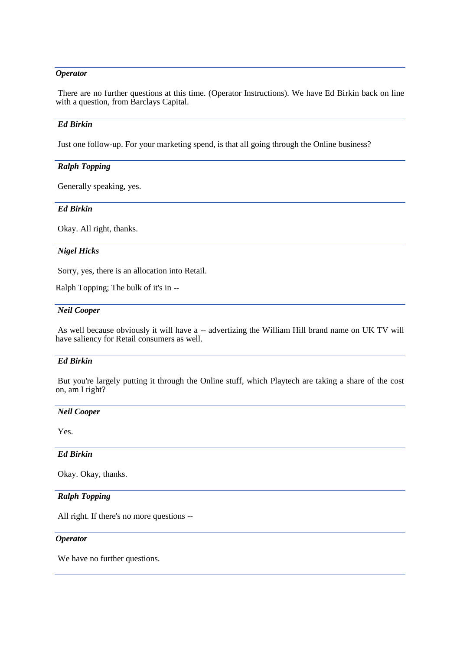# *Operator*

There are no further questions at this time. (Operator Instructions). We have Ed Birkin back on line with a question, from Barclays Capital.

# *Ed Birkin*

Just one follow-up. For your marketing spend, is that all going through the Online business?

# *Ralph Topping*

Generally speaking, yes.

# *Ed Birkin*

Okay. All right, thanks.

# *Nigel Hicks*

Sorry, yes, there is an allocation into Retail.

Ralph Topping; The bulk of it's in --

# *Neil Cooper*

As well because obviously it will have a -- advertizing the William Hill brand name on UK TV will have saliency for Retail consumers as well.

## *Ed Birkin*

But you're largely putting it through the Online stuff, which Playtech are taking a share of the cost on, am I right?

# *Neil Cooper*

Yes.

# *Ed Birkin*

Okay. Okay, thanks.

# *Ralph Topping*

All right. If there's no more questions --

#### *Operator*

We have no further questions.